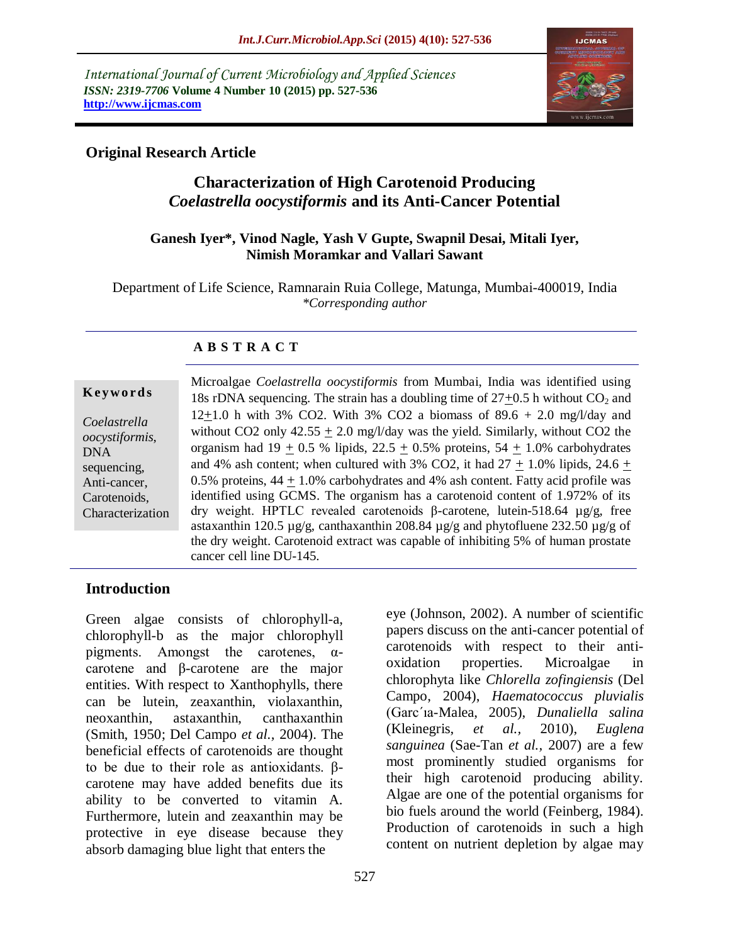*International Journal of Current Microbiology and Applied Sciences ISSN: 2319-7706* **Volume 4 Number 10 (2015) pp. 527-536 http://www.ijcmas.com** 



# **Original Research Article**

# **Characterization of High Carotenoid Producing**  *Coelastrella oocystiformis* **and its Anti-Cancer Potential**

#### **Ganesh Iyer\*, Vinod Nagle, Yash V Gupte, Swapnil Desai, Mitali Iyer, Nimish Moramkar and Vallari Sawant**

Department of Life Science, Ramnarain Ruia College, Matunga, Mumbai-400019, India *\*Corresponding author*

## **A B S T R A C T**

| Keywords |  |
|----------|--|
|----------|--|

*Coelastrella oocystiformis*, DNA sequencing, Anti-cancer, Carotenoids, Characterization Microalgae *Coelastrella oocystiformis* from Mumbai, India was identified using 18s rDNA sequencing. The strain has a doubling time of  $27+0.5$  h without  $CO<sub>2</sub>$  and 12+1.0 h with 3% CO2. With 3% CO2 a biomass of  $89.6 + 2.0$  mg/l/day and without CO2 only  $42.55 \pm 2.0$  mg/l/day was the yield. Similarly, without CO2 the organism had 19  $\pm$  0.5 % lipids, 22.5  $\pm$  0.5% proteins, 54  $\pm$  1.0% carbohydrates and 4% ash content; when cultured with 3% CO2, it had  $27 \pm 1.0\%$  lipids, 24.6  $\pm$ 0.5% proteins,  $44 + 1.0\%$  carbohydrates and 4% ash content. Fatty acid profile was identified using GCMS. The organism has a carotenoid content of 1.972% of its dry weight. HPTLC revealed carotenoids β-carotene, lutein-518.64 µg/g, free astaxanthin 120.5  $\mu$ g/g, canthaxanthin 208.84  $\mu$ g/g and phytofluene 232.50  $\mu$ g/g of the dry weight. Carotenoid extract was capable of inhibiting 5% of human prostate cancer cell line DU-145.

# **Introduction**

Green algae consists of chlorophyll-a, chlorophyll-b as the major chlorophyll pigments. Amongst the carotenes,  $\alpha$ carotene and β-carotene are the major entities. With respect to Xanthophylls, there can be lutein, zeaxanthin, violaxanthin, neoxanthin, astaxanthin, canthaxanthin (Smith, 1950; Del Campo *et al.,* 2004). The beneficial effects of carotenoids are thought to be due to their role as antioxidants. βcarotene may have added benefits due its ability to be converted to vitamin A. Furthermore, lutein and zeaxanthin may be protective in eye disease because they absorb damaging blue light that enters the

eye (Johnson, 2002). A number of scientific papers discuss on the anti-cancer potential of carotenoids with respect to their antioxidation properties. Microalgae in chlorophyta like *Chlorella zofingiensis* (Del Campo, 2004), *Haematococcus pluvialis* (Garc´ıa-Malea, 2005), *Dunaliella salina* (Kleinegris, *et al.,* 2010), *Euglena sanguinea* (Sae-Tan *et al.,* 2007) are a few most prominently studied organisms for their high carotenoid producing ability. Algae are one of the potential organisms for bio fuels around the world (Feinberg, 1984). Production of carotenoids in such a high content on nutrient depletion by algae may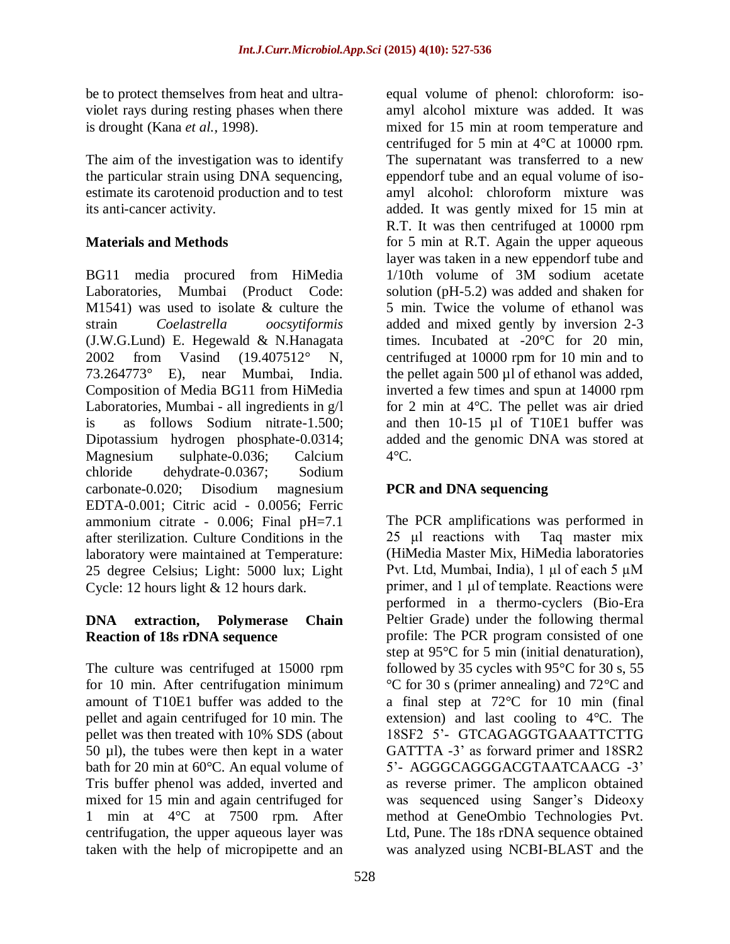be to protect themselves from heat and ultraviolet rays during resting phases when there is drought (Kana *et al.,* 1998).

The aim of the investigation was to identify the particular strain using DNA sequencing, estimate its carotenoid production and to test its anti-cancer activity.

# **Materials and Methods**

BG11 media procured from HiMedia Laboratories, Mumbai (Product Code: M1541) was used to isolate & culture the strain *Coelastrella oocsytiformis*  (J.W.G.Lund) E. Hegewald & N.Hanagata 2002 from Vasind (19.407512° N, 73.264773° E), near Mumbai, India. Composition of Media BG11 from HiMedia Laboratories, Mumbai - all ingredients in g/l is as follows Sodium nitrate-1.500; Dipotassium hydrogen phosphate-0.0314; Magnesium sulphate-0.036; Calcium chloride dehydrate-0.0367; Sodium carbonate-0.020; Disodium magnesium EDTA-0.001; Citric acid - 0.0056; Ferric ammonium citrate - 0.006; Final pH=7.1 after sterilization. Culture Conditions in the laboratory were maintained at Temperature: 25 degree Celsius; Light: 5000 lux; Light Cycle: 12 hours light & 12 hours dark.

# **DNA extraction, Polymerase Chain Reaction of 18s rDNA sequence**

The culture was centrifuged at 15000 rpm for 10 min. After centrifugation minimum amount of T10E1 buffer was added to the pellet and again centrifuged for 10 min. The pellet was then treated with 10% SDS (about 50 µl), the tubes were then kept in a water bath for 20 min at 60°C. An equal volume of Tris buffer phenol was added, inverted and mixed for 15 min and again centrifuged for 1 min at 4°C at 7500 rpm. After centrifugation, the upper aqueous layer was taken with the help of micropipette and an

equal volume of phenol: chloroform: isoamyl alcohol mixture was added. It was mixed for 15 min at room temperature and centrifuged for 5 min at 4°C at 10000 rpm. The supernatant was transferred to a new eppendorf tube and an equal volume of isoamyl alcohol: chloroform mixture was added. It was gently mixed for 15 min at R.T. It was then centrifuged at 10000 rpm for 5 min at R.T. Again the upper aqueous layer was taken in a new eppendorf tube and 1/10th volume of 3M sodium acetate solution (pH-5.2) was added and shaken for 5 min. Twice the volume of ethanol was added and mixed gently by inversion 2-3 times. Incubated at -20°C for 20 min, centrifuged at 10000 rpm for 10 min and to the pellet again 500 µl of ethanol was added, inverted a few times and spun at 14000 rpm for 2 min at 4°C. The pellet was air dried and then 10-15 µl of T10E1 buffer was added and the genomic DNA was stored at  $4^{\circ}$ C.

# **PCR and DNA sequencing**

The PCR amplifications was performed in 25 μl reactions with Taq master mix (HiMedia Master Mix, HiMedia laboratories Pvt. Ltd, Mumbai, India), 1 μl of each 5 µM primer, and 1 μl of template. Reactions were performed in a thermo-cyclers (Bio-Era Peltier Grade) under the following thermal profile: The PCR program consisted of one step at 95°C for 5 min (initial denaturation), followed by 35 cycles with 95°C for 30 s, 55 °C for 30 s (primer annealing) and 72°C and a final step at 72°C for 10 min (final extension) and last cooling to 4°C. The 18SF2 5'- GTCAGAGGTGAAATTCTTG GATTTA -3' as forward primer and 18SR2 5'- AGGGCAGGGACGTAATCAACG -3' as reverse primer. The amplicon obtained was sequenced using Sanger's Dideoxy method at GeneOmbio Technologies Pvt. Ltd, Pune. The 18s rDNA sequence obtained was analyzed using NCBI-BLAST and the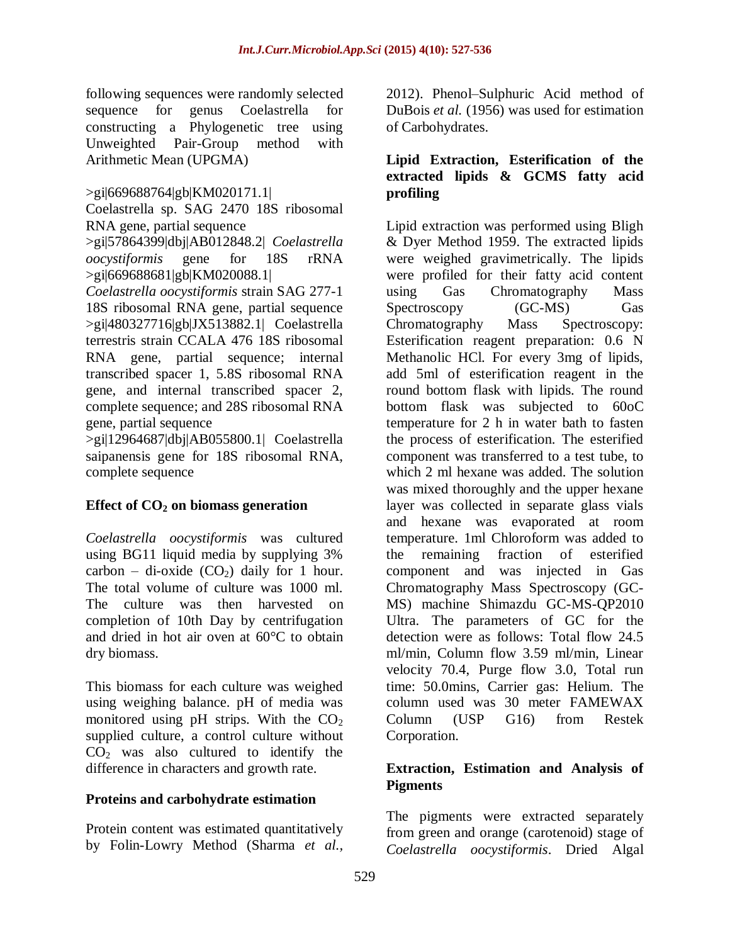following sequences were randomly selected sequence for genus Coelastrella for constructing a Phylogenetic tree using Unweighted Pair-Group method with Arithmetic Mean (UPGMA)

>gi|669688764|gb|KM020171.1|

Coelastrella sp. SAG 2470 18S ribosomal RNA gene, partial sequence

>gi|57864399|dbj|AB012848.2| *Coelastrella oocystiformis* gene for 18S rRNA >gi|669688681|gb|KM020088.1|

*Coelastrella oocystiformis* strain SAG 277-1 18S ribosomal RNA gene, partial sequence >gi|480327716|gb|JX513882.1| Coelastrella terrestris strain CCALA 476 18S ribosomal RNA gene, partial sequence; internal transcribed spacer 1, 5.8S ribosomal RNA gene, and internal transcribed spacer 2, complete sequence; and 28S ribosomal RNA gene, partial sequence

>gi|12964687|dbj|AB055800.1| Coelastrella saipanensis gene for 18S ribosomal RNA, complete sequence

## **Effect of CO<sup>2</sup> on biomass generation**

*Coelastrella oocystiformis* was cultured using BG11 liquid media by supplying 3% carbon – di-oxide  $(CO_2)$  daily for 1 hour. The total volume of culture was 1000 ml. The culture was then harvested on completion of 10th Day by centrifugation and dried in hot air oven at 60°C to obtain dry biomass.

This biomass for each culture was weighed using weighing balance. pH of media was monitored using pH strips. With the  $CO<sub>2</sub>$ supplied culture, a control culture without  $CO<sub>2</sub>$  was also cultured to identify the difference in characters and growth rate.

## **Proteins and carbohydrate estimation**

Protein content was estimated quantitatively by Folin-Lowry Method (Sharma *et al.,*

2012). Phenol–Sulphuric Acid method of DuBois *et al.* (1956) was used for estimation of Carbohydrates.

#### **Lipid Extraction, Esterification of the extracted lipids & GCMS fatty acid profiling**

Lipid extraction was performed using Bligh & Dyer Method 1959. The extracted lipids were weighed gravimetrically. The lipids were profiled for their fatty acid content using Gas Chromatography Mass Spectroscopy (GC-MS) Gas Chromatography Mass Spectroscopy: Esterification reagent preparation: 0.6 N Methanolic HCl. For every 3mg of lipids, add 5ml of esterification reagent in the round bottom flask with lipids. The round bottom flask was subjected to 60oC temperature for 2 h in water bath to fasten the process of esterification. The esterified component was transferred to a test tube, to which 2 ml hexane was added. The solution was mixed thoroughly and the upper hexane layer was collected in separate glass vials and hexane was evaporated at room temperature. 1ml Chloroform was added to the remaining fraction of esterified component and was injected in Gas Chromatography Mass Spectroscopy (GC-MS) machine Shimazdu GC-MS-QP2010 Ultra. The parameters of GC for the detection were as follows: Total flow 24.5 ml/min, Column flow 3.59 ml/min, Linear velocity 70.4, Purge flow 3.0, Total run time: 50.0mins, Carrier gas: Helium. The column used was 30 meter FAMEWAX Column (USP G16) from Restek Corporation.

## **Extraction, Estimation and Analysis of Pigments**

The pigments were extracted separately from green and orange (carotenoid) stage of *Coelastrella oocystiformis*. Dried Algal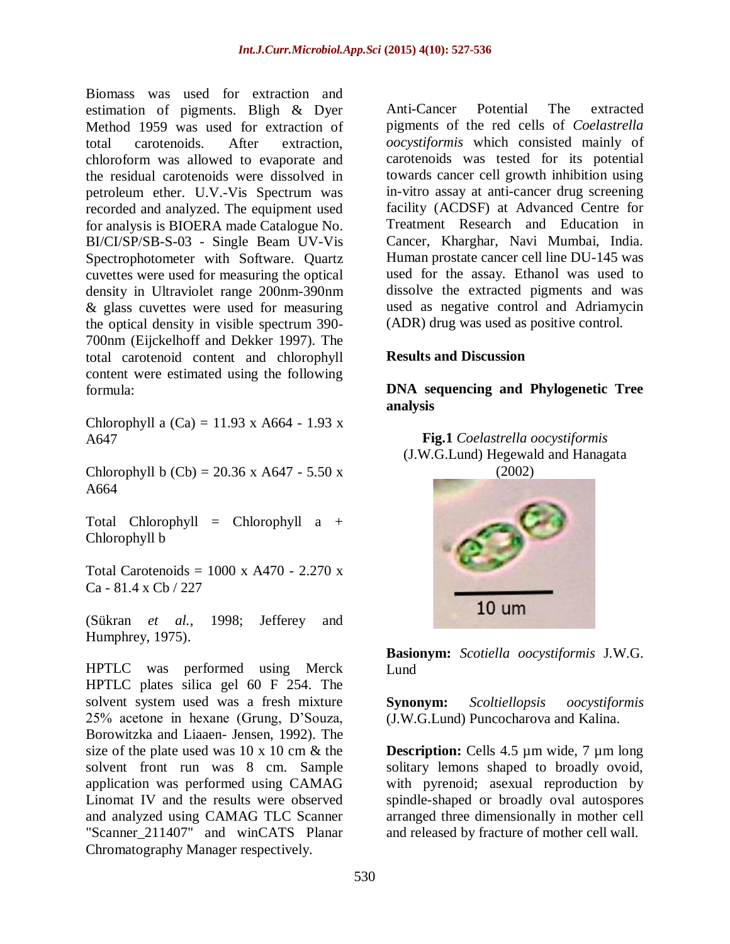Biomass was used for extraction and estimation of pigments. Bligh & Dyer Method 1959 was used for extraction of total carotenoids. After extraction, chloroform was allowed to evaporate and the residual carotenoids were dissolved in petroleum ether. U.V.-Vis Spectrum was recorded and analyzed. The equipment used for analysis is BIOERA made Catalogue No. BI/CI/SP/SB-S-03 - Single Beam UV-Vis Spectrophotometer with Software. Quartz cuvettes were used for measuring the optical density in Ultraviolet range 200nm-390nm & glass cuvettes were used for measuring the optical density in visible spectrum 390- 700nm (Eijckelhoff and Dekker 1997). The total carotenoid content and chlorophyll content were estimated using the following formula:

Chlorophyll a  $(Ca) = 11.93$  x A664 - 1.93 x A647

Chlorophyll b  $(Cb) = 20.36$  x A647 - 5.50 x A664

Total Chlorophyll = Chlorophyll a + Chlorophyll b

Total Carotenoids =  $1000 \text{ x}$  A470 - 2.270 x Ca - 81.4 x Cb / 227

(Sükran *et al.,* 1998; Jefferey and Humphrey, 1975).

HPTLC was performed using Merck HPTLC plates silica gel 60 F 254. The solvent system used was a fresh mixture 25% acetone in hexane (Grung, D'Souza, Borowitzka and Liaaen- Jensen, 1992). The size of the plate used was 10 x 10 cm & the solvent front run was 8 cm. Sample application was performed using CAMAG Linomat IV and the results were observed and analyzed using CAMAG TLC Scanner "Scanner 211407" and winCATS Planar Chromatography Manager respectively.

Anti-Cancer Potential The extracted pigments of the red cells of *Coelastrella oocystiformis* which consisted mainly of carotenoids was tested for its potential towards cancer cell growth inhibition using in-vitro assay at anti-cancer drug screening facility (ACDSF) at Advanced Centre for Treatment Research and Education in Cancer, Kharghar, Navi Mumbai, India. Human prostate cancer cell line DU-145 was used for the assay. Ethanol was used to dissolve the extracted pigments and was used as negative control and Adriamycin (ADR) drug was used as positive control.

#### **Results and Discussion**

#### **DNA sequencing and Phylogenetic Tree analysis**

**Fig.1** *Coelastrella oocystiformis* (J.W.G.Lund) Hegewald and Hanagata (2002)



**Basionym:** *Scotiella oocystiformis* J.W.G. Lund

**Synonym:** *Scoltiellopsis oocystiformis*  (J.W.G.Lund) Puncocharova and Kalina.

**Description:** Cells 4.5 µm wide, 7 µm long solitary lemons shaped to broadly ovoid, with pyrenoid; asexual reproduction by spindle-shaped or broadly oval autospores arranged three dimensionally in mother cell and released by fracture of mother cell wall.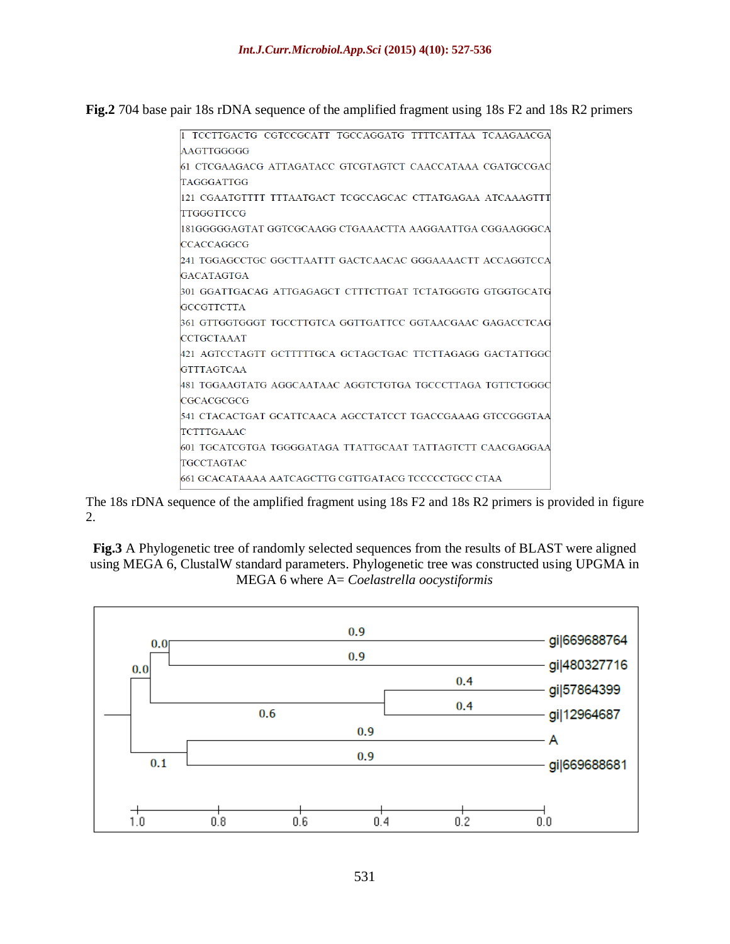**Fig.2** 704 base pair 18s rDNA sequence of the amplified fragment using 18s F2 and 18s R2 primers

| I TCCTTGACTG CGTCCGCATT TGCCAGGATG TTTTCATTAA TCAAGAACGA   |
|------------------------------------------------------------|
| AAGTTGGGGG                                                 |
| 61 CTCGAAGACG ATTAGATACC GTCGTAGTCT CAACCATAAA CGATGCCGAC  |
| TAGGGATTGG                                                 |
| 121 CGAATGTTTT TTTAATGACT TCGCCAGCAC CTTATGAGAA ATCAAAGTTT |
| <b>TTGGGTTCCG</b>                                          |
| 181GGGGGAGTAT GGTCGCAAGG CTGAAACTTA AAGGAATTGA CGGAAGGGCA  |
| <b>CCACCAGGCG</b>                                          |
| 241 TGGAGCCTGC GGCTTAATTT GACTCAACAC GGGAAAACTT ACCAGGTCCA |
| <b>GACATAGTGA</b>                                          |
| 301 GGATTGACAG ATTGAGAGCT CTTTCTTGAT TCTATGGGTG GTGGTGCATG |
| <b>GCCGTTCTTA</b>                                          |
| 361 GTTGGTGGGT TGCCTTGTCA GGTTGATTCC GGTAACGAAC GAGACCTCAG |
| <b>CCTGCTAAAT</b>                                          |
| 421 AGTCCTAGTT GCTTTTTGCA GCTAGCTGAC TTCTTAGAGG GACTATTGGC |
| <b>GTTTAGTCAA</b>                                          |
| 481 TGGAAGTATG AGGCAATAAC AGGTCTGTGA TGCCCTTAGA TGTTCTGGGC |
| <b>CGCACGCGCG</b>                                          |
| 541 CTACACTGAT GCATTCAACA AGCCTATCCT TGACCGAAAG GTCCGGGTAA |
| <b>TCTTTGAAAC</b>                                          |
| 601 TGCATCGTGA TGGGGATAGA TTATTGCAAT TATTAGTCTT CAACGAGGAA |
| <b>TGCCTAGTAC</b>                                          |
| 661 GCACATAAAA AATCAGCTTG CGTTGATACG TCCCCCTGCC CTAA       |
|                                                            |

The 18s rDNA sequence of the amplified fragment using 18s F2 and 18s R2 primers is provided in figure 2.

**Fig.3** A Phylogenetic tree of randomly selected sequences from the results of BLAST were aligned using MEGA 6, ClustalW standard parameters. Phylogenetic tree was constructed using UPGMA in MEGA 6 where A= *Coelastrella oocystiformis*

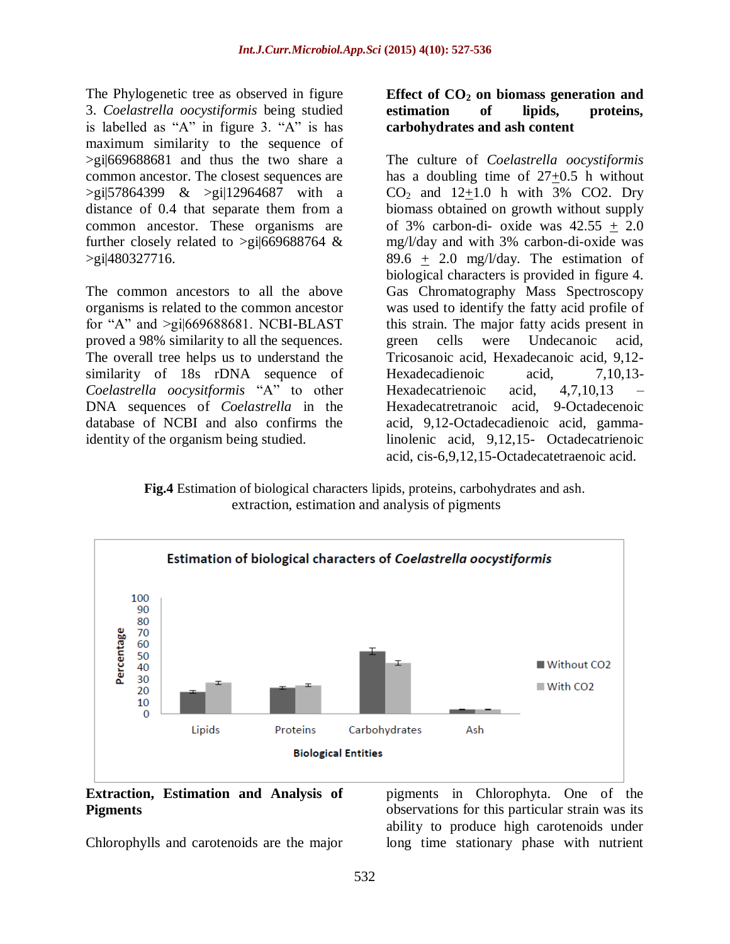The Phylogenetic tree as observed in figure 3. *Coelastrella oocystiformis* being studied is labelled as "A" in figure 3. "A" is has maximum similarity to the sequence of >gi|669688681 and thus the two share a common ancestor. The closest sequences are >gi|57864399 & >gi|12964687 with a distance of 0.4 that separate them from a common ancestor. These organisms are further closely related to  $>g$ i|669688764 & >gi|480327716.

The common ancestors to all the above organisms is related to the common ancestor for "A" and >gi|669688681. NCBI-BLAST proved a 98% similarity to all the sequences. The overall tree helps us to understand the similarity of 18s rDNA sequence of *Coelastrella oocysitformis* "A" to other DNA sequences of *Coelastrella* in the database of NCBI and also confirms the identity of the organism being studied.

## **Effect of CO<sup>2</sup> on biomass generation and estimation of lipids, proteins, carbohydrates and ash content**

The culture of *Coelastrella oocystiformis* has a doubling time of  $27 \pm 0.5$  h without  $CO<sub>2</sub>$  and  $12+1.0$  h with 3% CO2. Dry biomass obtained on growth without supply of  $3\%$  carbon-di- oxide was  $42.55 + 2.0$ mg/l/day and with 3% carbon-di-oxide was 89.6 + 2.0 mg/l/day. The estimation of biological characters is provided in figure 4. Gas Chromatography Mass Spectroscopy was used to identify the fatty acid profile of this strain. The major fatty acids present in green cells were Undecanoic acid, Tricosanoic acid, Hexadecanoic acid, 9,12- Hexadecadienoic acid, 7,10,13-Hexadecatrienoic acid, 4,7,10,13 Hexadecatretranoic acid, 9-Octadecenoic acid, 9,12-Octadecadienoic acid, gammalinolenic acid, 9,12,15- Octadecatrienoic acid, cis-6,9,12,15-Octadecatetraenoic acid.

**Fig.4** Estimation of biological characters lipids, proteins, carbohydrates and ash. extraction, estimation and analysis of pigments



#### **Extraction, Estimation and Analysis of Pigments**

Chlorophylls and carotenoids are the major

pigments in Chlorophyta. One of the observations for this particular strain was its ability to produce high carotenoids under long time stationary phase with nutrient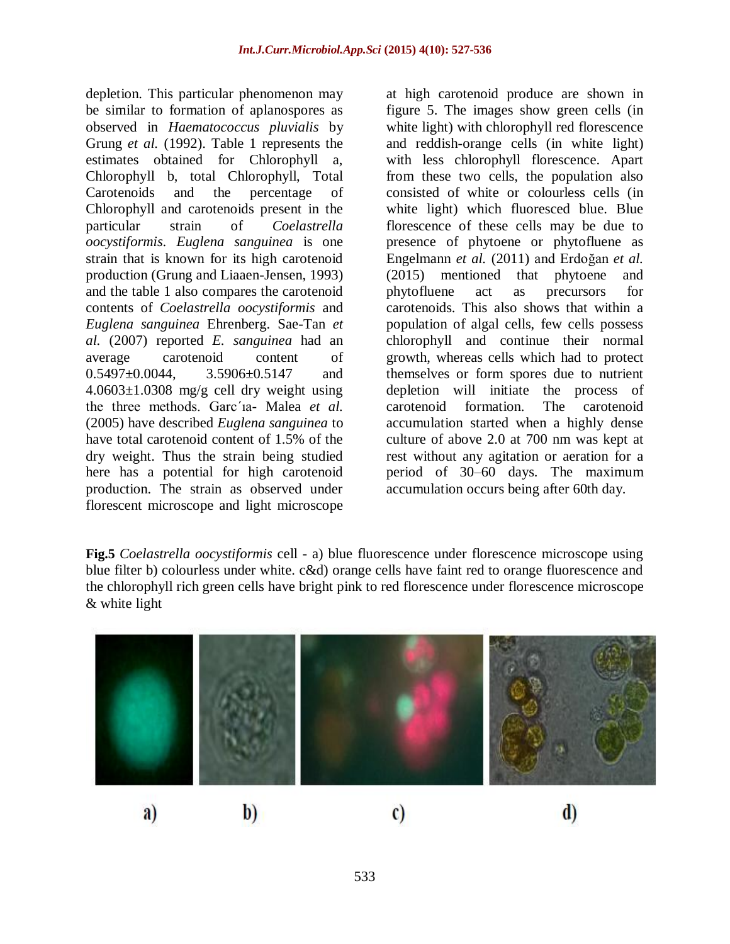depletion. This particular phenomenon may be similar to formation of aplanospores as observed in *Haematococcus pluvialis* by Grung *et al.* (1992). Table 1 represents the estimates obtained for Chlorophyll a, Chlorophyll b, total Chlorophyll, Total Carotenoids and the percentage of Chlorophyll and carotenoids present in the particular strain of *Coelastrella oocystiformis*. *Euglena sanguinea* is one strain that is known for its high carotenoid production (Grung and Liaaen-Jensen, 1993) and the table 1 also compares the carotenoid contents of *Coelastrella oocystiformis* and *Euglena sanguinea* Ehrenberg. Sae-Tan *et al.* (2007) reported *E. sanguinea* had an average carotenoid content of 0.5497±0.0044, 3.5906±0.5147 and  $4.0603 \pm 1.0308$  mg/g cell dry weight using the three methods. Garc´ıa- Malea *et al.*  (2005) have described *Euglena sanguinea* to have total carotenoid content of 1.5% of the dry weight. Thus the strain being studied here has a potential for high carotenoid production. The strain as observed under florescent microscope and light microscope

at high carotenoid produce are shown in figure 5. The images show green cells (in white light) with chlorophyll red florescence and reddish-orange cells (in white light) with less chlorophyll florescence. Apart from these two cells, the population also consisted of white or colourless cells (in white light) which fluoresced blue. Blue florescence of these cells may be due to presence of phytoene or phytofluene as Engelmann *et al.* (2011) and Erdoğan *et al.*  (2015) mentioned that phytoene and phytofluene act as precursors for carotenoids. This also shows that within a population of algal cells, few cells possess chlorophyll and continue their normal growth, whereas cells which had to protect themselves or form spores due to nutrient depletion will initiate the process of carotenoid formation. The carotenoid accumulation started when a highly dense culture of above 2.0 at 700 nm was kept at rest without any agitation or aeration for a period of 30–60 days. The maximum accumulation occurs being after 60th day.

**Fig.5** *Coelastrella oocystiformis* cell - a) blue fluorescence under florescence microscope using blue filter b) colourless under white. c&d) orange cells have faint red to orange fluorescence and the chlorophyll rich green cells have bright pink to red florescence under florescence microscope & white light

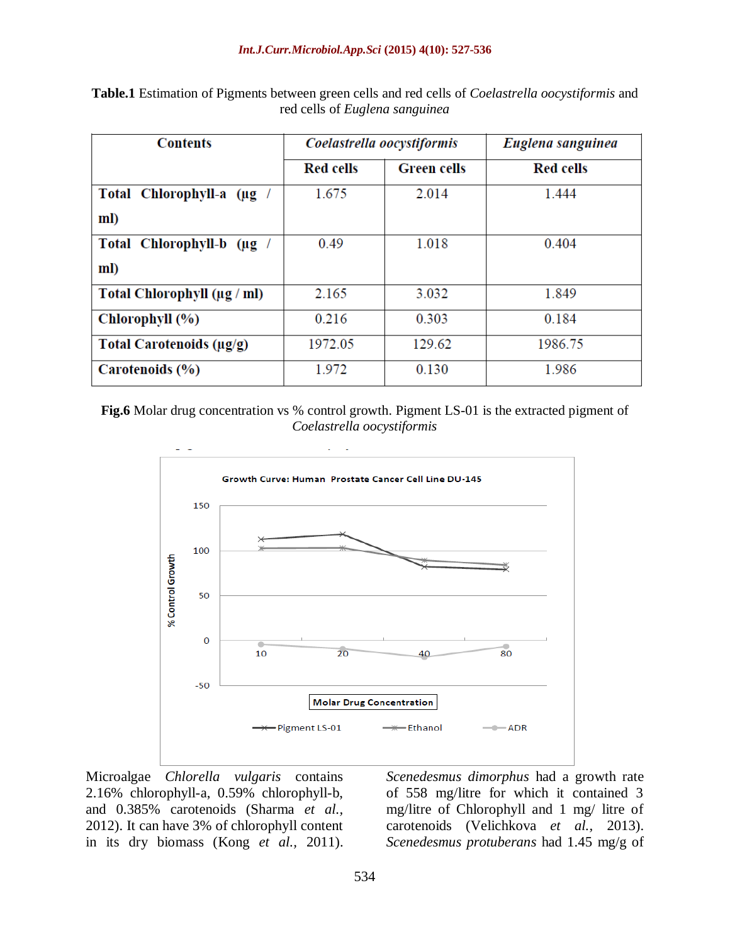| <b>Contents</b>                | Coelastrella oocystiformis |                    | Euglena sanguinea |
|--------------------------------|----------------------------|--------------------|-------------------|
|                                | <b>Red cells</b>           | <b>Green cells</b> | <b>Red cells</b>  |
| Total Chlorophyll-a (µg /      | 1.675                      | 2.014              | 1.444             |
| ml)                            |                            |                    |                   |
| Total Chlorophyll-b (µg /      | 0.49                       | 1.018              | 0.404             |
| ml)                            |                            |                    |                   |
| Total Chlorophyll (µg / ml)    | 2.165                      | 3.032              | 1.849             |
| Chlorophyll (%)                | 0.216                      | 0.303              | 0.184             |
| Total Carotenoids ( $\mu$ g/g) | 1972.05                    | 129.62             | 1986.75           |
| Carotenoids (%)                | 1.972                      | 0.130              | 1.986             |

**Table.1** Estimation of Pigments between green cells and red cells of *Coelastrella oocystiformis* and red cells of *Euglena sanguinea*

**Fig.6** Molar drug concentration vs % control growth. Pigment LS-01 is the extracted pigment of *Coelastrella oocystiformis*



Microalgae *Chlorella vulgaris* contains 2.16% chlorophyll-a, 0.59% chlorophyll-b, and 0.385% carotenoids (Sharma *et al.,* 2012). It can have 3% of chlorophyll content in its dry biomass (Kong *et al.,* 2011).

*Scenedesmus dimorphus* had a growth rate of 558 mg/litre for which it contained 3 mg/litre of Chlorophyll and 1 mg/ litre of carotenoids (Velichkova *et al.,* 2013). *Scenedesmus protuberans* had 1.45 mg/g of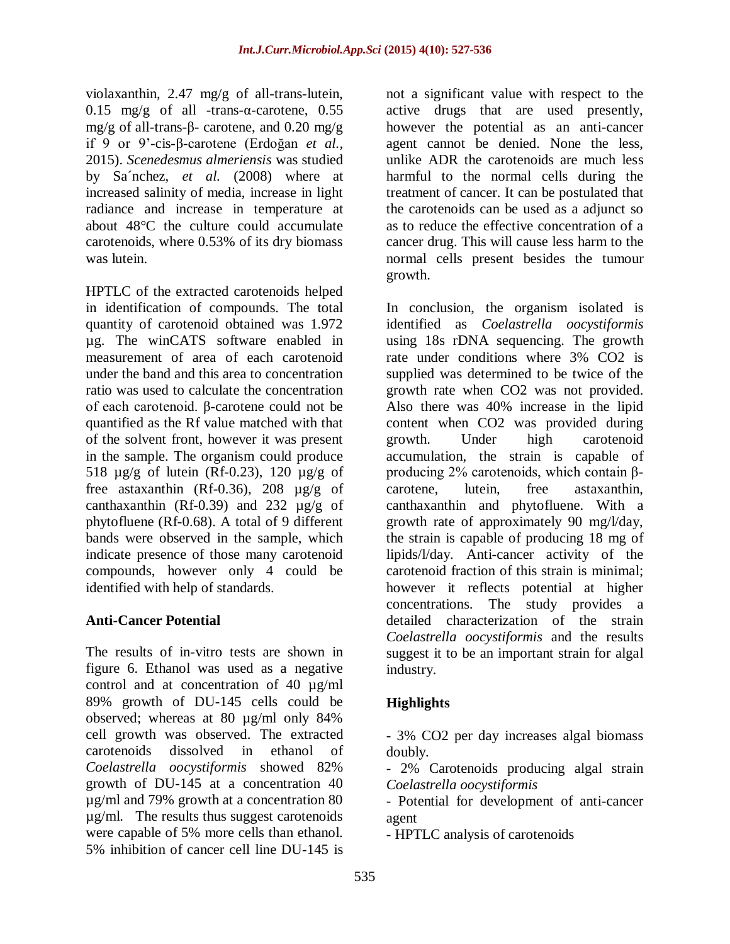violaxanthin, 2.47 mg/g of all-trans-lutein, 0.15 mg/g of all -trans-α-carotene, 0.55 mg/g of all-trans-β- carotene, and 0.20 mg/g if 9 or 9'-cis-β-carotene (Erdoğan *et al.,* 2015). *Scenedesmus almeriensis* was studied by Sa´nchez, *et al.* (2008) where at increased salinity of media, increase in light radiance and increase in temperature at about 48°C the culture could accumulate carotenoids, where 0.53% of its dry biomass was lutein.

HPTLC of the extracted carotenoids helped in identification of compounds. The total quantity of carotenoid obtained was 1.972 µg. The winCATS software enabled in measurement of area of each carotenoid under the band and this area to concentration ratio was used to calculate the concentration of each carotenoid. β-carotene could not be quantified as the Rf value matched with that of the solvent front, however it was present in the sample. The organism could produce 518 µg/g of lutein (Rf-0.23), 120 µg/g of free astaxanthin (Rf-0.36), 208 µg/g of canthaxanthin (Rf-0.39) and 232  $\mu$ g/g of phytofluene (Rf-0.68). A total of 9 different bands were observed in the sample, which indicate presence of those many carotenoid compounds, however only 4 could be identified with help of standards.

## **Anti-Cancer Potential**

The results of in-vitro tests are shown in figure 6. Ethanol was used as a negative control and at concentration of 40 µg/ml 89% growth of DU-145 cells could be observed; whereas at 80 µg/ml only 84% cell growth was observed. The extracted carotenoids dissolved in ethanol of *Coelastrella oocystiformis* showed 82% growth of DU-145 at a concentration 40 µg/ml and 79% growth at a concentration 80 µg/ml. The results thus suggest carotenoids were capable of 5% more cells than ethanol. 5% inhibition of cancer cell line DU-145 is

not a significant value with respect to the active drugs that are used presently, however the potential as an anti-cancer agent cannot be denied. None the less, unlike ADR the carotenoids are much less harmful to the normal cells during the treatment of cancer. It can be postulated that the carotenoids can be used as a adjunct so as to reduce the effective concentration of a cancer drug. This will cause less harm to the normal cells present besides the tumour growth.

In conclusion, the organism isolated is identified as *Coelastrella oocystiformis* using 18s rDNA sequencing. The growth rate under conditions where 3% CO2 is supplied was determined to be twice of the growth rate when CO2 was not provided. Also there was 40% increase in the lipid content when CO2 was provided during growth. Under high carotenoid accumulation, the strain is capable of producing 2% carotenoids, which contain βcarotene, lutein, free astaxanthin, canthaxanthin and phytofluene. With a growth rate of approximately 90 mg/l/day, the strain is capable of producing 18 mg of lipids/l/day. Anti-cancer activity of the carotenoid fraction of this strain is minimal; however it reflects potential at higher concentrations. The study provides a detailed characterization of the strain *Coelastrella oocystiformis* and the results suggest it to be an important strain for algal industry.

# **Highlights**

- 3% CO2 per day increases algal biomass doubly.

- 2% Carotenoids producing algal strain *Coelastrella oocystiformis*

- Potential for development of anti-cancer agent

- HPTLC analysis of carotenoids